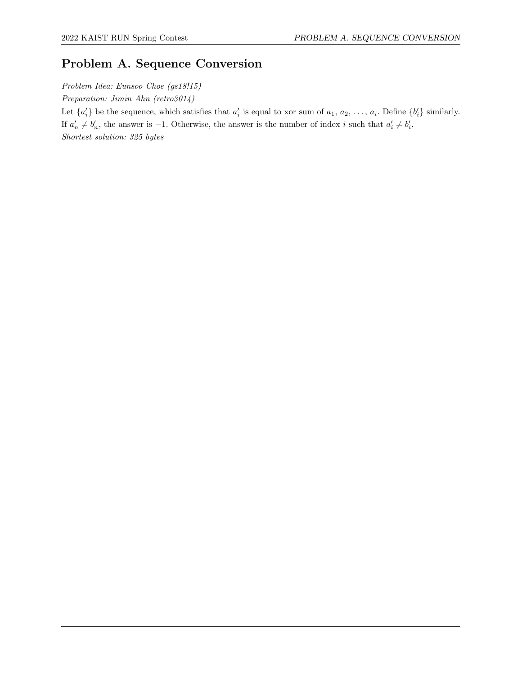# Problem A. Sequence Conversion

Problem Idea: Eunsoo Choe (gs18!15) Preparation: Jimin Ahn (retro3014) Let  $\{a'_i\}$  be the sequence, which satisfies that  $a'_i$  is equal to xor sum of  $a_1, a_2, \ldots, a_i$ . Define  $\{b'_i\}$  similarly. If  $a'_n \neq b'_n$ , the answer is -1. Otherwise, the answer is the number of index i such that  $a'_i \neq b'_i$ . Shortest solution: 325 bytes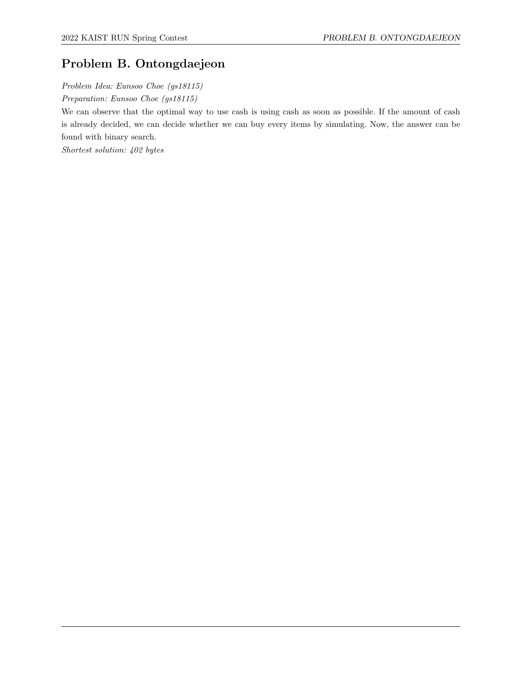# Problem B. Ontongdaejeon

Problem Idea: Eunsoo Choe (gs18115) Preparation: Eunsoo Choe (gs18115)

We can observe that the optimal way to use cash is using cash as soon as possible. If the amount of cash is already decided, we can decide whether we can buy every items by simulating. Now, the answer can be found with binary search.

Shortest solution: 402 bytes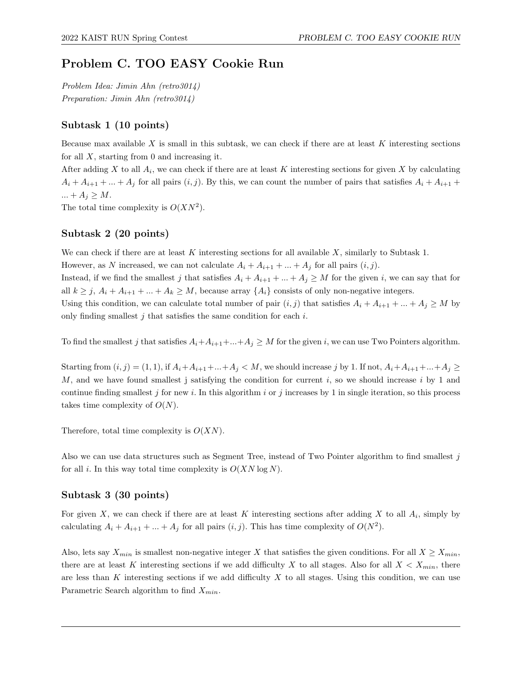# Problem C. TOO EASY Cookie Run

Problem Idea: Jimin Ahn (retro3014) Preparation: Jimin Ahn (retro3014)

## Subtask 1 (10 points)

Because max available X is small in this subtask, we can check if there are at least  $K$  interesting sections for all  $X$ , starting from 0 and increasing it.

After adding X to all  $A_i$ , we can check if there are at least K interesting sections for given X by calculating  $A_i + A_{i+1} + ... + A_j$  for all pairs  $(i, j)$ . By this, we can count the number of pairs that satisfies  $A_i + A_{i+1}$  +  $\ldots + A_j \geq M$ .

The total time complexity is  $O(XN^2)$ .

# Subtask 2 (20 points)

We can check if there are at least K interesting sections for all available  $X$ , similarly to Subtask 1.

However, as N increased, we can not calculate  $A_i + A_{i+1} + ... + A_j$  for all pairs  $(i, j)$ .

Instead, if we find the smallest j that satisfies  $A_i + A_{i+1} + ... + A_j \geq M$  for the given i, we can say that for all  $k \geq j$ ,  $A_i + A_{i+1} + ... + A_k \geq M$ , because array  $\{A_i\}$  consists of only non-negative integers.

Using this condition, we can calculate total number of pair  $(i, j)$  that satisfies  $A_i + A_{i+1} + ... + A_j \geq M$  by only finding smallest  $j$  that satisfies the same condition for each  $i$ .

To find the smallest j that satisfies  $A_i + A_{i+1} + ... + A_j \geq M$  for the given i, we can use Two Pointers algorithm.

Starting from  $(i, j) = (1, 1)$ , if  $A_i + A_{i+1} + ... + A_j < M$ , we should increase j by 1. If not,  $A_i + A_{i+1} + ... + A_j \ge$ M, and we have found smallest j satisfying the condition for current  $i$ , so we should increase  $i$  by 1 and continue finding smallest j for new i. In this algorithm i or j increases by 1 in single iteration, so this process takes time complexity of  $O(N)$ .

Therefore, total time complexity is  $O(XN)$ .

Also we can use data structures such as Segment Tree, instead of Two Pointer algorithm to find smallest j for all i. In this way total time complexity is  $O(XN \log N)$ .

# Subtask 3 (30 points)

For given X, we can check if there are at least K interesting sections after adding X to all  $A_i$ , simply by calculating  $A_i + A_{i+1} + ... + A_j$  for all pairs  $(i, j)$ . This has time complexity of  $O(N^2)$ .

Also, lets say  $X_{min}$  is smallest non-negative integer X that satisfies the given conditions. For all  $X \geq X_{min}$ , there are at least K interesting sections if we add difficulty X to all stages. Also for all  $X < X_{min}$ , there are less than K interesting sections if we add difficulty X to all stages. Using this condition, we can use Parametric Search algorithm to find  $X_{min}$ .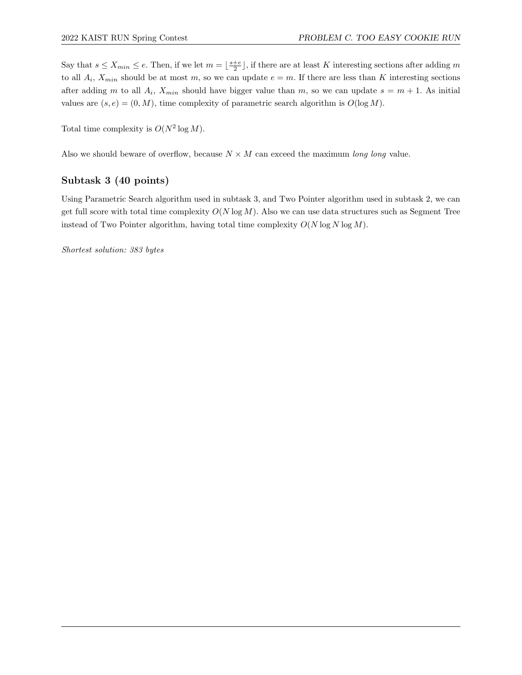Say that  $s \leq X_{min} \leq e$ . Then, if we let  $m = \lfloor \frac{s+e}{2} \rfloor$ , if there are at least K interesting sections after adding m to all  $A_i$ ,  $X_{min}$  should be at most m, so we can update  $e = m$ . If there are less than K interesting sections after adding m to all  $A_i$ ,  $X_{min}$  should have bigger value than m, so we can update  $s = m + 1$ . As initial values are  $(s, e) = (0, M)$ , time complexity of parametric search algorithm is  $O(\log M)$ .

Total time complexity is  $O(N^2 \log M)$ .

Also we should beware of overflow, because  $N \times M$  can exceed the maximum long long value.

# Subtask 3 (40 points)

Using Parametric Search algorithm used in subtask 3, and Two Pointer algorithm used in subtask 2, we can get full score with total time complexity  $O(N \log M)$ . Also we can use data structures such as Segment Tree instead of Two Pointer algorithm, having total time complexity  $O(N \log N \log M)$ .

Shortest solution: 383 bytes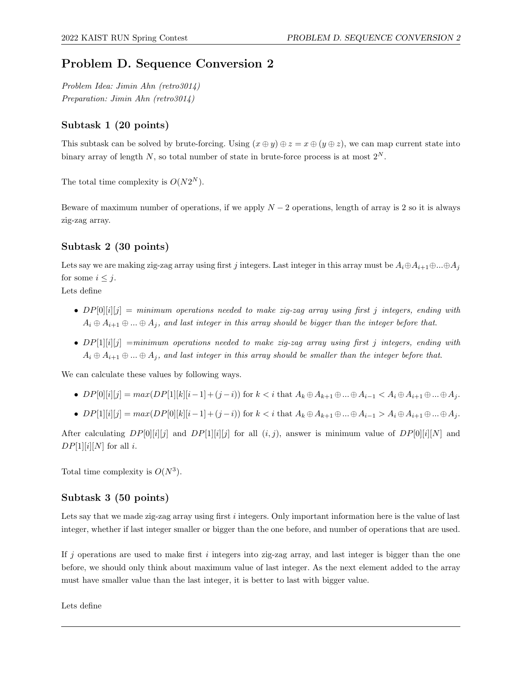# Problem D. Sequence Conversion 2

Problem Idea: Jimin Ahn (retro3014) Preparation: Jimin Ahn (retro3014)

# Subtask 1 (20 points)

This subtask can be solved by brute-forcing. Using  $(x \oplus y) \oplus z = x \oplus (y \oplus z)$ , we can map current state into binary array of length N, so total number of state in brute-force process is at most  $2^N$ .

The total time complexity is  $O(N2^N)$ .

Beware of maximum number of operations, if we apply  $N-2$  operations, length of array is 2 so it is always zig-zag array.

# Subtask 2 (30 points)

Lets say we are making zig-zag array using first j integers. Last integer in this array must be  $A_i \oplus A_{i+1} \oplus ... \oplus A_j$ for some  $i \leq j$ .

Lets define

- $DP[0][i][j] = minimum operations needed to make zig-zag array using first j integers, ending with$  $A_i \oplus A_{i+1} \oplus ... \oplus A_j$ , and last integer in this array should be bigger than the integer before that.
- $DP[1][i][j] = minimum operations needed to make zig-zag array using first j integers, ending with$  $A_i \oplus A_{i+1} \oplus ... \oplus A_j$ , and last integer in this array should be smaller than the integer before that.

We can calculate these values by following ways.

- $DP[0][i][j] = max(DP[1][k][i-1] + (j-i))$  for  $k < i$  that  $A_k \oplus A_{k+1} \oplus ... \oplus A_{i-1} < A_i \oplus A_{i+1} \oplus ... \oplus A_j$ .
- $DP[1][i][j] = max(DP[0][k][i-1] + (j-i))$  for  $k < i$  that  $A_k \oplus A_{k+1} \oplus ... \oplus A_{i-1} > A_i \oplus A_{i+1} \oplus ... \oplus A_j$ .

After calculating  $DP[0][i][j]$  and  $DP[1][i][j]$  for all  $(i, j)$ , answer is minimum value of  $DP[0][i][N]$  and  $DP[1][i][N]$  for all *i*.

Total time complexity is  $O(N^3)$ .

# Subtask 3 (50 points)

Lets say that we made zig-zag array using first i integers. Only important information here is the value of last integer, whether if last integer smaller or bigger than the one before, and number of operations that are used.

If j operations are used to make first  $i$  integers into zig-zag array, and last integer is bigger than the one before, we should only think about maximum value of last integer. As the next element added to the array must have smaller value than the last integer, it is better to last with bigger value.

Lets define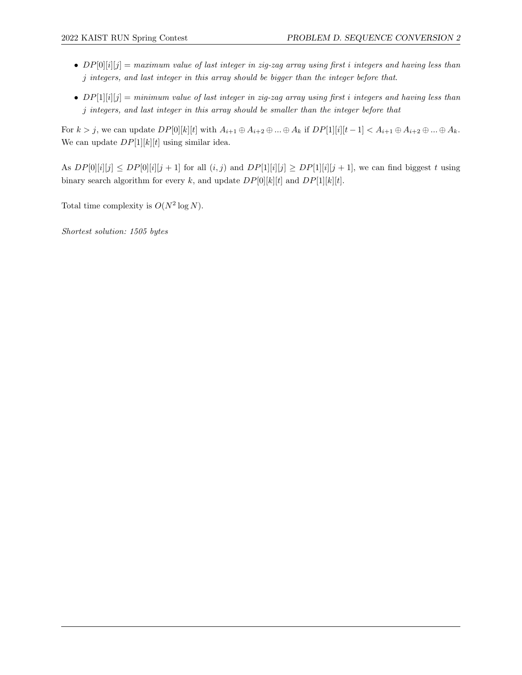- $DP[0][i][j] = maximum value of last integer in zig-zag array using first i integers and having less than$ j integers, and last integer in this array should be bigger than the integer before that.
- $DP[1][i][j] = minimum value of last integer in zig-zag array using first i integers and having less than$ j integers, and last integer in this array should be smaller than the integer before that

For  $k > j$ , we can update  $DP[0][k][t]$  with  $A_{i+1} \oplus A_{i+2} \oplus ... \oplus A_k$  if  $DP[1][i][t-1] < A_{i+1} \oplus A_{i+2} \oplus ... \oplus A_k$ . We can update  $DP[1][k][t]$  using similar idea.

As  $DP[0][i][j] \le DP[0][i][j+1]$  for all  $(i, j)$  and  $DP[1][i][j] \ge DP[1][i][j+1]$ , we can find biggest t using binary search algorithm for every k, and update  $DP[0][k][t]$  and  $DP[1][k][t]$ .

Total time complexity is  $O(N^2 \log N)$ .

Shortest solution: 1505 bytes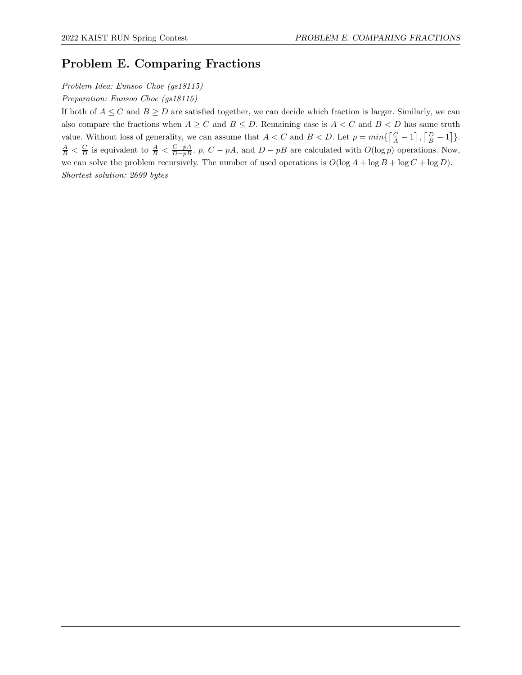# Problem E. Comparing Fractions

Problem Idea: Eunsoo Choe (gs18115)

Preparation: Eunsoo Choe (gs18115)

If both of  $A \leq C$  and  $B \geq D$  are satisfied together, we can decide which fraction is larger. Similarly, we can also compare the fractions when  $A \geq C$  and  $B \leq D$ . Remaining case is  $A < C$  and  $B < D$  has same truth value. Without loss of generality, we can assume that  $A < C$  and  $B < D$ . Let  $p = min\{\lceil \frac{C}{A} - 1 \rceil, \lceil \frac{D}{B} - 1 \rceil\}$ .  $\frac{A}{B} < \frac{C}{D}$  is equivalent to  $\frac{A}{B} < \frac{C-pA}{D-pB}$ . p,  $C-pA$ , and  $D-pB$  are calculated with  $O(\log p)$  operations. Now, we can solve the problem recursively. The number of used operations is  $O(\log A + \log B + \log C + \log D)$ . Shortest solution: 2699 bytes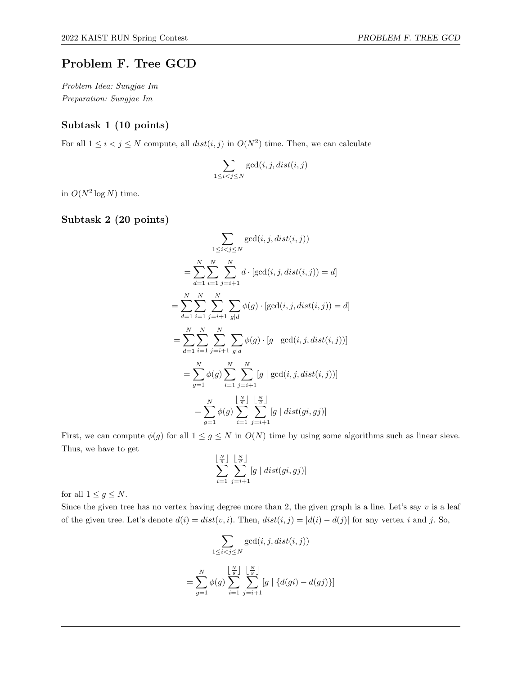# Problem F. Tree GCD

Problem Idea: Sungjae Im Preparation: Sungjae Im

#### Subtask 1 (10 points)

For all  $1 \leq i < j \leq N$  compute, all  $dist(i, j)$  in  $O(N^2)$  time. Then, we can calculate

$$
\sum_{1 \le i < j \le N} \gcd(i, j, dist(i, j))
$$

in  $O(N^2 \log N)$  time.

### Subtask 2 (20 points)

$$
\sum_{1 \le i < j \le N} \gcd(i, j, dist(i, j))
$$
\n
$$
= \sum_{d=1}^{N} \sum_{i=1}^{N} \sum_{j=i+1}^{N} d \cdot [\gcd(i, j, dist(i, j)) = d]
$$
\n
$$
= \sum_{d=1}^{N} \sum_{i=1}^{N} \sum_{j=i+1}^{N} \sum_{g|d} \phi(g) \cdot [\gcd(i, j, dist(i, j)) = d]
$$
\n
$$
= \sum_{d=1}^{N} \sum_{i=1}^{N} \sum_{j=i+1}^{N} \sum_{g|d} \phi(g) \cdot [g \mid \gcd(i, j, dist(i, j))]
$$
\n
$$
= \sum_{g=1}^{N} \phi(g) \sum_{i=1}^{N} \sum_{j=i+1}^{N} [g \mid \gcd(i, j, dist(i, j))]
$$
\n
$$
= \sum_{g=1}^{N} \phi(g) \sum_{i=1}^{N} \sum_{j=i+1}^{N} [g \mid dist(gi, gj)]
$$

First, we can compute  $\phi(g)$  for all  $1 \leq g \leq N$  in  $O(N)$  time by using some algorithms such as linear sieve. Thus, we have to get

$$
\sum_{i=1}^{\lfloor \frac{N}{g} \rfloor} \sum_{j=i+1}^{\lfloor \frac{N}{g} \rfloor} [g \mid dist(gi, gj)]
$$

for all  $1 \leq g \leq N$ .

Since the given tree has no vertex having degree more than 2, the given graph is a line. Let's say  $v$  is a leaf of the given tree. Let's denote  $d(i) = dist(v, i)$ . Then,  $dist(i, j) = |d(i) - d(j)|$  for any vertex i and j. So,

$$
\sum_{1 \le i < j \le N} \gcd(i, j, dist(i, j))
$$
\n
$$
= \sum_{g=1}^N \phi(g) \sum_{i=1}^{\left\lfloor \frac{N}{g} \right\rfloor} \sum_{j=i+1}^{\left\lfloor \frac{N}{g} \right\rfloor} [g \mid \{d(gi) - d(gj)\}]
$$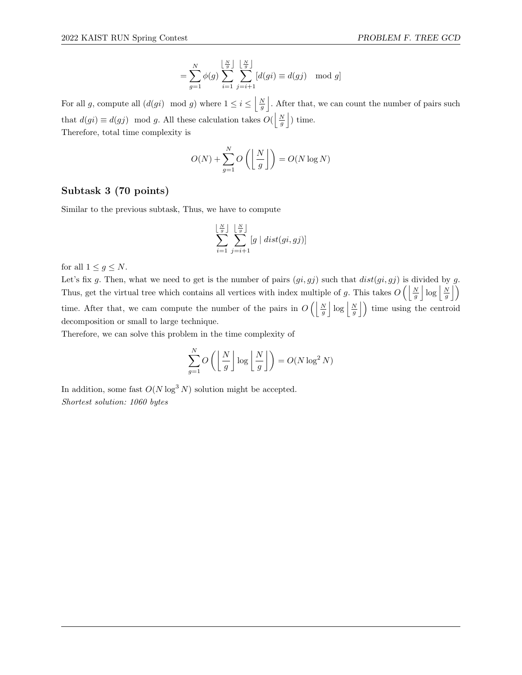$$
= \sum_{g=1}^{N} \phi(g) \sum_{i=1}^{\lfloor \frac{N}{g} \rfloor} \sum_{j=i+1}^{\lfloor \frac{N}{g} \rfloor} [d(gi) \equiv d(gj) \mod g]
$$

For all g, compute all  $(d(gi) \mod g)$  where  $1 \leq i \leq \left\lfloor \frac{N}{g} \right\rfloor$ . After that, we can count the number of pairs such that  $d(gi) \equiv d(gj) \mod g$ . All these calculation takes  $O(\left\lfloor \frac{N}{g} \right\rfloor)$  time. Therefore, total time complexity is

$$
O(N) + \sum_{g=1}^{N} O\left(\left\lfloor \frac{N}{g} \right\rfloor\right) = O(N \log N)
$$

#### Subtask 3 (70 points)

Similar to the previous subtask, Thus, we have to compute

$$
\sum_{i=1}^{\lfloor \frac{N}{g} \rfloor} \sum_{j=i+1}^{\lfloor \frac{N}{g} \rfloor} [g \mid dist(gi, gj)]
$$

for all  $1 \leq g \leq N$ .

Let's fix g. Then, what we need to get is the number of pairs  $(gi, gj)$  such that  $dist(gi, gj)$  is divided by g. Thus, get the virtual tree which contains all vertices with index multiple of g. This takes  $O\left(\left\lfloor \frac{N}{g} \right\rfloor \log \left\lfloor \frac{N}{g} \right\rfloor\right)$ time. After that, we cam compute the number of the pairs in  $O\left(\left|\frac{N}{g}\right| \log \left|\frac{N}{g}\right|\right)$  time using the centroid decomposition or small to large technique.

Therefore, we can solve this problem in the time complexity of

$$
\sum_{g=1}^{N} O\left(\left\lfloor \frac{N}{g} \right\rfloor \log \left\lfloor \frac{N}{g} \right\rfloor\right) = O(N \log^2 N)
$$

In addition, some fast  $O(N \log^3 N)$  solution might be accepted. Shortest solution: 1060 bytes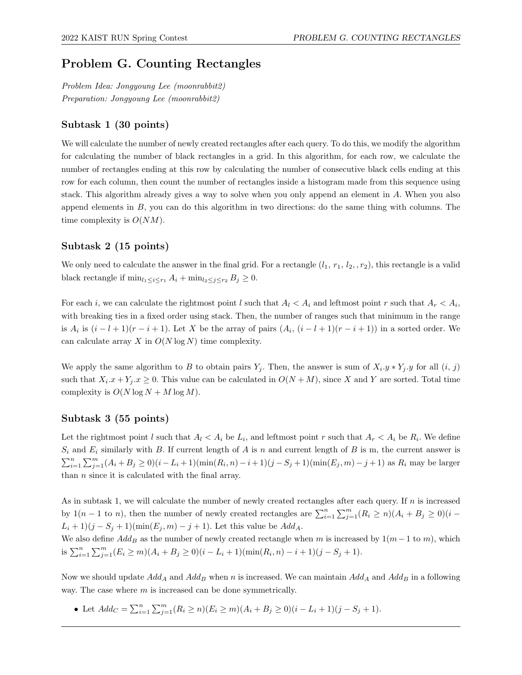# Problem G. Counting Rectangles

Problem Idea: Jongyoung Lee (moonrabbit2) Preparation: Jongyoung Lee (moonrabbit2)

### Subtask 1 (30 points)

We will calculate the number of newly created rectangles after each query. To do this, we modify the algorithm for calculating the number of black rectangles in a grid. In this algorithm, for each row, we calculate the number of rectangles ending at this row by calculating the number of consecutive black cells ending at this row for each column, then count the number of rectangles inside a histogram made from this sequence using stack. This algorithm already gives a way to solve when you only append an element in A. When you also append elements in  $B$ , you can do this algorithm in two directions: do the same thing with columns. The time complexity is  $O(NM)$ .

### Subtask 2 (15 points)

We only need to calculate the answer in the final grid. For a rectangle  $(l_1, r_1, l_2, r_2)$ , this rectangle is a valid black rectangle if  $\min_{l_1 \leq i \leq r_1} A_i + \min_{l_2 \leq j \leq r_2} B_j \geq 0$ .

For each i, we can calculate the rightmost point l such that  $A_l < A_i$  and leftmost point r such that  $A_r < A_i$ , with breaking ties in a fixed order using stack. Then, the number of ranges such that minimum in the range is  $A_i$  is  $(i - l + 1)(r - i + 1)$ . Let X be the array of pairs  $(A_i, (i - l + 1)(r - i + 1))$  in a sorted order. We can calculate array  $X$  in  $O(N \log N)$  time complexity.

We apply the same algorithm to B to obtain pairs  $Y_j$ . Then, the answer is sum of  $X_i \tcdot y * Y_j \tcdot y$  for all  $(i, j)$ such that  $X_i.x + Y_j.x \geq 0$ . This value can be calculated in  $O(N+M)$ , since X and Y are sorted. Total time complexity is  $O(N \log N + M \log M)$ .

### Subtask 3 (55 points)

Let the rightmost point l such that  $A_l < A_i$  be  $L_i$ , and leftmost point r such that  $A_r < A_i$  be  $R_i$ . We define  $S_i$  and  $E_i$  similarly with B. If current length of A is n and current length of B is m, the current answer is  $\sum_{i=1}^{n} \sum_{j=1}^{m} (A_i + B_j \ge 0)(i - L_i + 1)(\min(R_i, n) - i + 1)(j - S_j + 1)(\min(E_j, m) - j + 1)$  as  $R_i$  may be larger than  $n$  since it is calculated with the final array.

As in subtask 1, we will calculate the number of newly created rectangles after each query. If n is increased by 1(n – 1 to n), then the number of newly created rectangles are  $\sum_{i=1}^{n} \sum_{j=1}^{m} (R_i \ge n)(A_i + B_j \ge 0)(i L_i + 1$ ) $(j - S_j + 1)$ (min $(E_j, m) - j + 1$ ). Let this value be  $Add_A$ .

We also define  $Add_B$  as the number of newly created rectangle when m is increased by  $1(m - 1$  to m), which is  $\sum_{i=1}^{n} \sum_{j=1}^{m} (E_i \ge m)(A_i + B_j \ge 0)(i - L_i + 1)(\min(R_i, n) - i + 1)(j - S_j + 1).$ 

Now we should update  $Add_A$  and  $Add_B$  when n is increased. We can maintain  $Add_A$  and  $Add_B$  in a following way. The case where  $m$  is increased can be done symmetrically.

• Let  $Add_C = \sum_{i=1}^n \sum_{j=1}^m (R_i \ge n)(E_i \ge m)(A_i + B_j \ge 0)(i - L_i + 1)(j - S_j + 1).$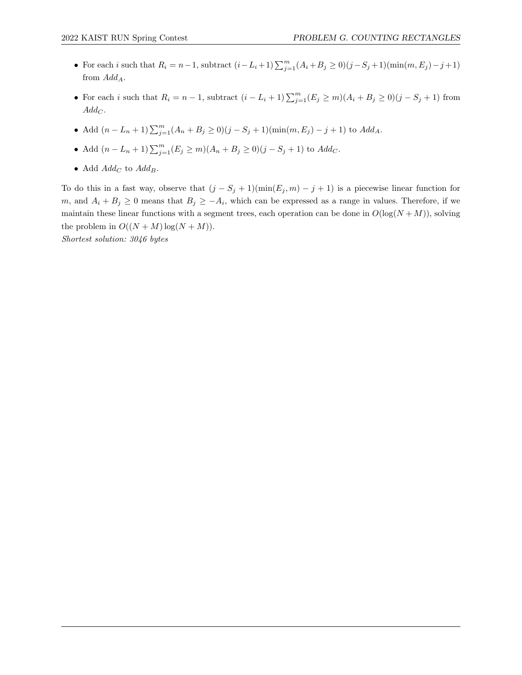- For each i such that  $R_i = n-1$ , subtract  $(i L_i + 1) \sum_{j=1}^{m} (A_i + B_j \ge 0)(j S_j + 1)(\min(m, E_j) j + 1)$ from  $Add_A$ .
- For each i such that  $R_i = n 1$ , subtract  $(i L_i + 1) \sum_{j=1}^{m} (E_j \ge m)(A_i + B_j \ge 0)(j S_j + 1)$  from  $Add_C$ .
- Add  $(n L_n + 1) \sum_{j=1}^{m} (A_n + B_j \ge 0)(j S_j + 1)(\min(m, E_j) j + 1)$  to  $Add_A$ .
- Add  $(n L_n + 1) \sum_{j=1}^{m} (E_j \ge m)(A_n + B_j \ge 0)(j S_j + 1)$  to  $Add_C$ .
- Add  $Add_C$  to  $Add_B$ .

To do this in a fast way, observe that  $(j - S_j + 1)(\min(E_j, m) - j + 1)$  is a piecewise linear function for m, and  $A_i + B_j \geq 0$  means that  $B_j \geq -A_i$ , which can be expressed as a range in values. Therefore, if we maintain these linear functions with a segment trees, each operation can be done in  $O(log(N+M))$ , solving the problem in  $O((N + M) \log(N + M)).$ 

Shortest solution: 3046 bytes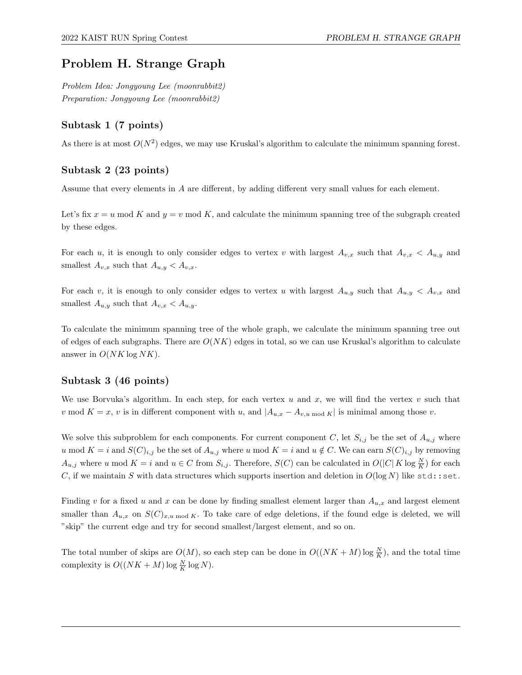# Problem H. Strange Graph

Problem Idea: Jongyoung Lee (moonrabbit2) Preparation: Jongyoung Lee (moonrabbit2)

### Subtask 1 (7 points)

As there is at most  $O(N^2)$  edges, we may use Kruskal's algorithm to calculate the minimum spanning forest.

### Subtask 2 (23 points)

Assume that every elements in A are different, by adding different very small values for each element.

Let's fix  $x = u \mod K$  and  $y = v \mod K$ , and calculate the minimum spanning tree of the subgraph created by these edges.

For each u, it is enough to only consider edges to vertex v with largest  $A_{v,x}$  such that  $A_{v,x} < A_{u,y}$  and smallest  $A_{v,x}$  such that  $A_{u,y} < A_{v,x}$ .

For each v, it is enough to only consider edges to vertex u with largest  $A_{u,y}$  such that  $A_{u,y} < A_{v,x}$  and smallest  $A_{u,y}$  such that  $A_{v,x} < A_{u,y}$ .

To calculate the minimum spanning tree of the whole graph, we calculate the minimum spanning tree out of edges of each subgraphs. There are  $O(NK)$  edges in total, so we can use Kruskal's algorithm to calculate answer in  $O(NK \log NK)$ .

### Subtask 3 (46 points)

We use Borvuka's algorithm. In each step, for each vertex u and x, we will find the vertex v such that v mod  $K = x$ , v is in different component with u, and  $|A_{u,x} - A_{v,u \mod K}|$  is minimal among those v.

We solve this subproblem for each components. For current component C, let  $S_{i,j}$  be the set of  $A_{u,j}$  where u mod  $K = i$  and  $S(C)_{i,j}$  be the set of  $A_{u,j}$  where u mod  $K = i$  and  $u \notin C$ . We can earn  $S(C)_{i,j}$  by removing  $A_{u,j}$  where u mod  $K = i$  and  $u \in C$  from  $S_{i,j}$ . Therefore,  $S(C)$  can be calculated in  $O(|C|K \log \frac{N}{K})$  for each C, if we maintain S with data structures which supports insertion and deletion in  $O(\log N)$  like std: set.

Finding v for a fixed u and x can be done by finding smallest element larger than  $A_{u,x}$  and largest element smaller than  $A_{u,x}$  on  $S(C)_{x,u \bmod K}$ . To take care of edge deletions, if the found edge is deleted, we will "skip" the current edge and try for second smallest/largest element, and so on.

The total number of skips are  $O(M)$ , so each step can be done in  $O((NK + M) \log \frac{N}{K})$ , and the total time complexity is  $O((NK + M) \log \frac{N}{K} \log N)$ .